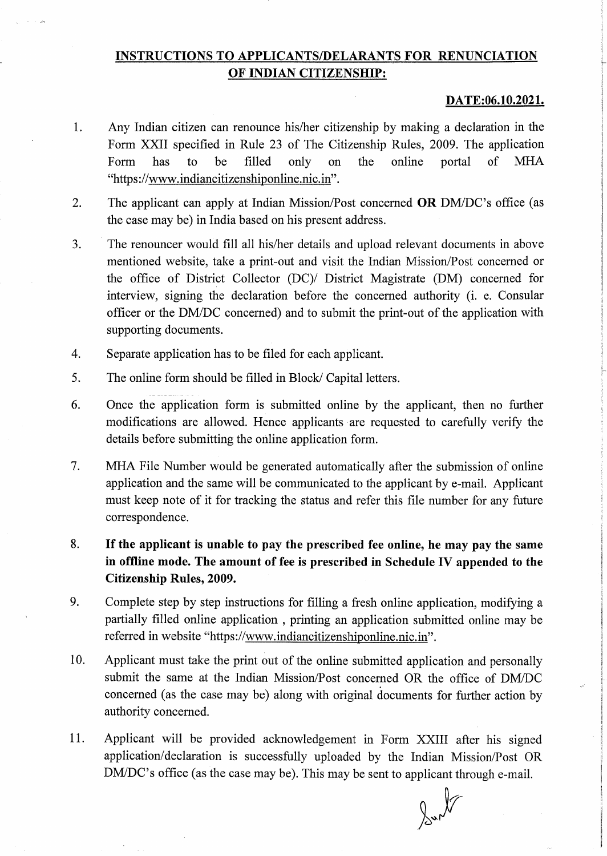## INSTRUCTIONS TO APPLICANTS/DELARANTS FOR RENUNCIATION OF INDIAN CITIZENSHIP:

## DATE:06.10.2021.

r

:

I

- Any Indian citizen can renounce his/her citizenship by making a declaration in the Form XXII specified in Rule 23 of The Citizenship Rules, 2009. The application Form has to be filled only on the online portal of MHA "https://www.indiancitizenshiponline.nic.in". 1.
- The applicant can apply at Indian Mission/Post concerned OR DM/DC's office (as the case may be) in India based on his present address. 2.
- The renouncer would fill all his/her details and upload relevant documents in above mentioned website, take a print-out and visit the Indian Mission/Post concerned or the office of District Collector (DC)/ District Magistrate (DM) concerned for interview, signing the declaration before the concerned authority (i. e. Consular officer or the DM/DC concerned) and to submit the print-out of the application with supporting documents. 3.
- Separate application has to be filed for each applicant. 4.
- The online form should be filled in Block/ Capital letters. 5.
- Once the application form is submitted online by the applicant, then no further modifications are allowed. Hence applicants are requested to carefully verify the details before submitting the online application form. 6.
- MHA File Number would be generated automatically after the submission of online application and the same will be communicated to the applicant by e-mail. Applicant must keep note of it for tracking the status and refer this file number for any future correspondence. 7.
- If the applicant is unable to pay the prescribed fee online, he may pay the same in offline mode. The amount of fee is prescribed in Schedule IV appended to the Citizenship Rules, 2009. 8.
- Complete step by step instructions for filling a fresh online application, modifying a partially filled online application , printing an application submitted online may be referred in website "https://www.indiancitizenshiponline.nic.in". 9.
- Applicant must take the print out of the online submitted application and personally submit the same at the Indian Mission/Post concerned OR the office of DM/DC concerned (as the case may be) along with original documents for further action by authority concerned. 10.
- Applicant will be provided acknowledgement in Form XXIII after his signed application/declaration is successfully uploaded by the Indian Mission/Post OR DM/DC's office (as the case may be). This may be sent to applicant through e-mail. 11.

 $\sim$